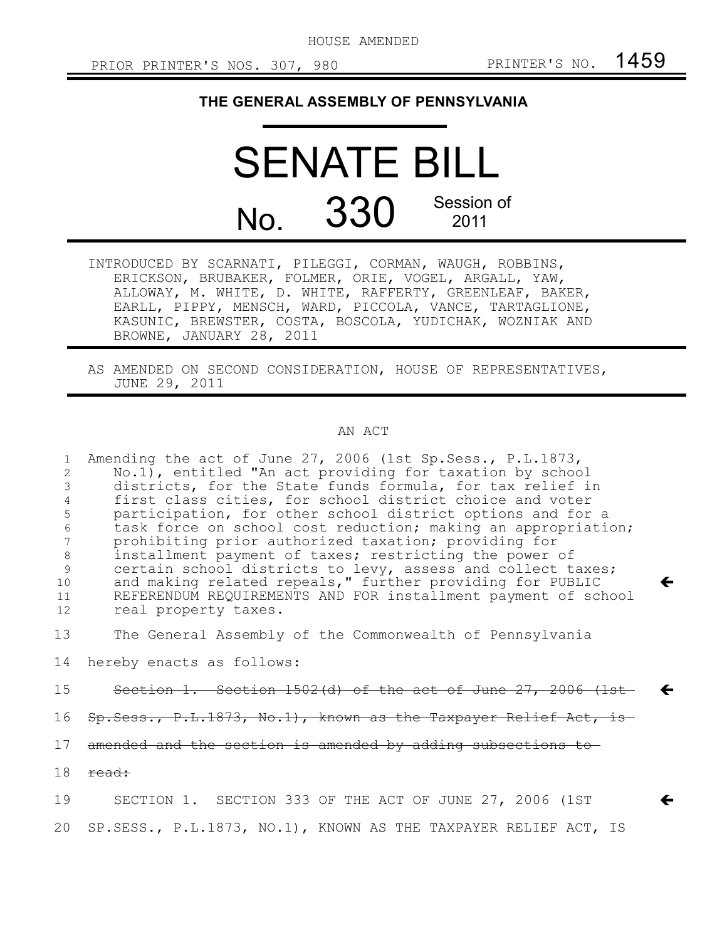HOUSE AMENDED

 $\leftarrow$ 

 $\leftarrow$ 

 $\leftarrow$ 

## **THE GENERAL ASSEMBLY OF PENNSYLVANIA**

## SENATE BILL No. 330 Session of 2011

INTRODUCED BY SCARNATI, PILEGGI, CORMAN, WAUGH, ROBBINS, ERICKSON, BRUBAKER, FOLMER, ORIE, VOGEL, ARGALL, YAW, ALLOWAY, M. WHITE, D. WHITE, RAFFERTY, GREENLEAF, BAKER, EARLL, PIPPY, MENSCH, WARD, PICCOLA, VANCE, TARTAGLIONE, KASUNIC, BREWSTER, COSTA, BOSCOLA, YUDICHAK, WOZNIAK AND BROWNE, JANUARY 28, 2011

AS AMENDED ON SECOND CONSIDERATION, HOUSE OF REPRESENTATIVES, JUNE 29, 2011

## AN ACT

Amending the act of June 27, 2006 (1st Sp.Sess., P.L.1873, No.1), entitled "An act providing for taxation by school districts, for the State funds formula, for tax relief in first class cities, for school district choice and voter participation, for other school district options and for a task force on school cost reduction; making an appropriation; prohibiting prior authorized taxation; providing for installment payment of taxes; restricting the power of certain school districts to levy, assess and collect taxes; and making related repeals," further providing for PUBLIC REFERENDUM REQUIREMENTS AND FOR installment payment of school real property taxes. 1 2 3 4 5 6 7 8 9 10 11 12

The General Assembly of the Commonwealth of Pennsylvania 13

hereby enacts as follows: 14

Section 1. Section 1502(d) of the act of June 27, 2006 (1st 15

- Sp.Sess., P.L.1873, No.1), known as the Taxpayer Relief Act, is 16
- amended and the section is amended by adding subsections to 17
- read: 18

SECTION 1. SECTION 333 OF THE ACT OF JUNE 27, 2006 (1ST SP.SESS., P.L.1873, NO.1), KNOWN AS THE TAXPAYER RELIEF ACT, IS 19 20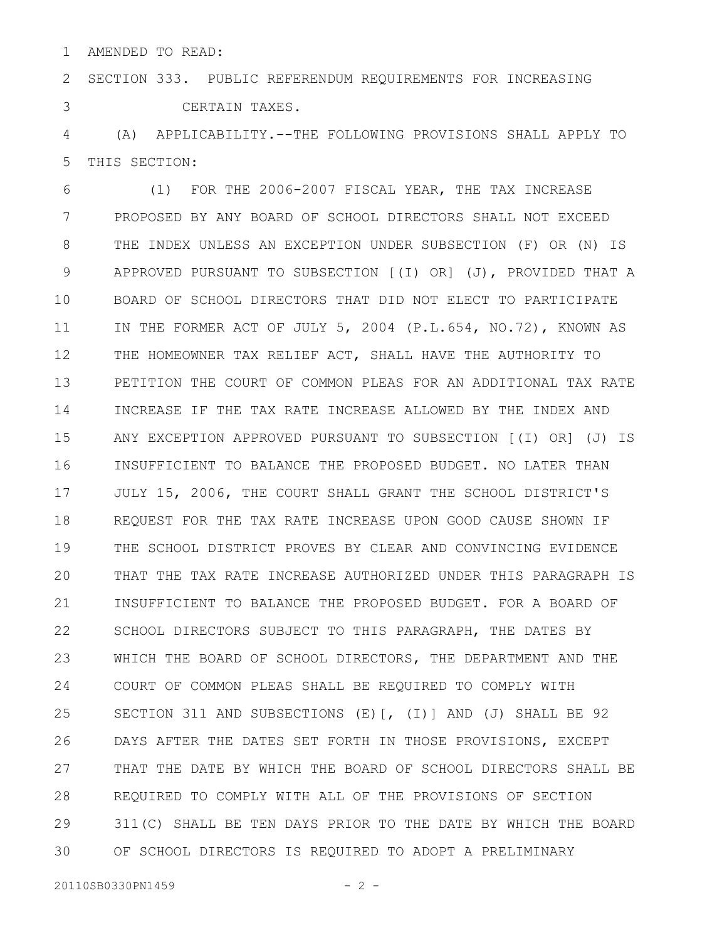AMENDED TO READ: 1

SECTION 333. PUBLIC REFERENDUM REQUIREMENTS FOR INCREASING CERTAIN TAXES. 2 3

(A) APPLICABILITY.--THE FOLLOWING PROVISIONS SHALL APPLY TO THIS SECTION: 4 5

(1) FOR THE 2006-2007 FISCAL YEAR, THE TAX INCREASE PROPOSED BY ANY BOARD OF SCHOOL DIRECTORS SHALL NOT EXCEED THE INDEX UNLESS AN EXCEPTION UNDER SUBSECTION (F) OR (N) IS APPROVED PURSUANT TO SUBSECTION [(I) OR] (J), PROVIDED THAT A BOARD OF SCHOOL DIRECTORS THAT DID NOT ELECT TO PARTICIPATE IN THE FORMER ACT OF JULY 5, 2004 (P.L.654, NO.72), KNOWN AS THE HOMEOWNER TAX RELIEF ACT, SHALL HAVE THE AUTHORITY TO PETITION THE COURT OF COMMON PLEAS FOR AN ADDITIONAL TAX RATE INCREASE IF THE TAX RATE INCREASE ALLOWED BY THE INDEX AND ANY EXCEPTION APPROVED PURSUANT TO SUBSECTION [(I) OR] (J) IS INSUFFICIENT TO BALANCE THE PROPOSED BUDGET. NO LATER THAN JULY 15, 2006, THE COURT SHALL GRANT THE SCHOOL DISTRICT'S REQUEST FOR THE TAX RATE INCREASE UPON GOOD CAUSE SHOWN IF THE SCHOOL DISTRICT PROVES BY CLEAR AND CONVINCING EVIDENCE THAT THE TAX RATE INCREASE AUTHORIZED UNDER THIS PARAGRAPH IS INSUFFICIENT TO BALANCE THE PROPOSED BUDGET. FOR A BOARD OF SCHOOL DIRECTORS SUBJECT TO THIS PARAGRAPH, THE DATES BY WHICH THE BOARD OF SCHOOL DIRECTORS, THE DEPARTMENT AND THE COURT OF COMMON PLEAS SHALL BE REQUIRED TO COMPLY WITH SECTION 311 AND SUBSECTIONS (E)[, (I)] AND (J) SHALL BE 92 DAYS AFTER THE DATES SET FORTH IN THOSE PROVISIONS, EXCEPT THAT THE DATE BY WHICH THE BOARD OF SCHOOL DIRECTORS SHALL BE REQUIRED TO COMPLY WITH ALL OF THE PROVISIONS OF SECTION 311(C) SHALL BE TEN DAYS PRIOR TO THE DATE BY WHICH THE BOARD OF SCHOOL DIRECTORS IS REQUIRED TO ADOPT A PRELIMINARY 6 7 8 9 10 11 12 13 14 15 16 17 18 19 20 21 22 23 24 25 26 27 28 29 30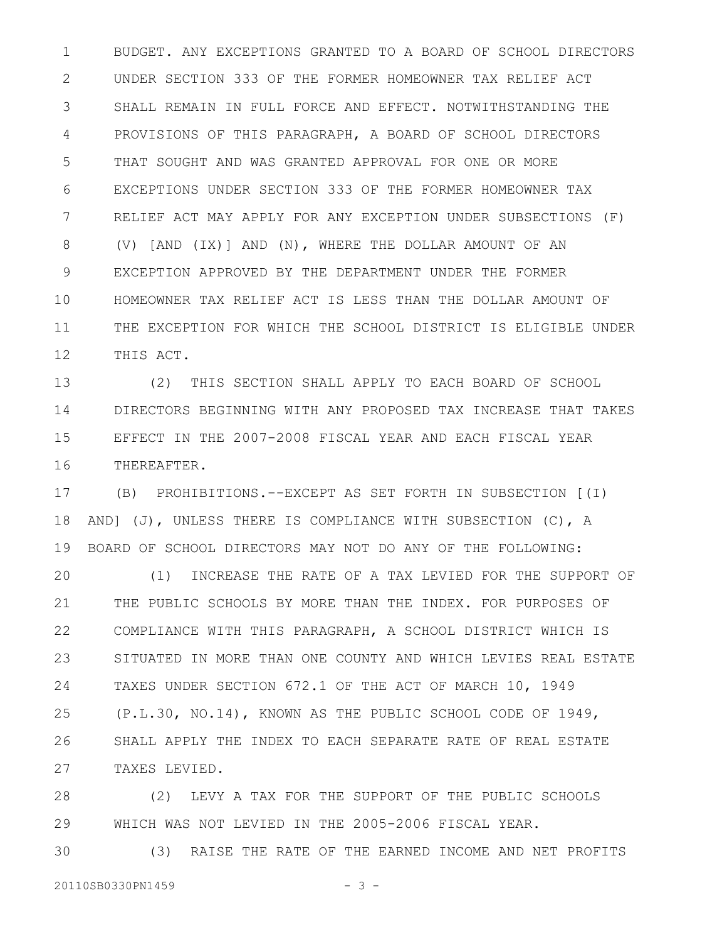BUDGET. ANY EXCEPTIONS GRANTED TO A BOARD OF SCHOOL DIRECTORS UNDER SECTION 333 OF THE FORMER HOMEOWNER TAX RELIEF ACT SHALL REMAIN IN FULL FORCE AND EFFECT. NOTWITHSTANDING THE PROVISIONS OF THIS PARAGRAPH, A BOARD OF SCHOOL DIRECTORS THAT SOUGHT AND WAS GRANTED APPROVAL FOR ONE OR MORE EXCEPTIONS UNDER SECTION 333 OF THE FORMER HOMEOWNER TAX RELIEF ACT MAY APPLY FOR ANY EXCEPTION UNDER SUBSECTIONS (F) (V) [AND (IX)] AND (N), WHERE THE DOLLAR AMOUNT OF AN EXCEPTION APPROVED BY THE DEPARTMENT UNDER THE FORMER HOMEOWNER TAX RELIEF ACT IS LESS THAN THE DOLLAR AMOUNT OF THE EXCEPTION FOR WHICH THE SCHOOL DISTRICT IS ELIGIBLE UNDER THIS ACT. 1 2 3 4 5 6 7 8 9 10 11 12

(2) THIS SECTION SHALL APPLY TO EACH BOARD OF SCHOOL DIRECTORS BEGINNING WITH ANY PROPOSED TAX INCREASE THAT TAKES EFFECT IN THE 2007-2008 FISCAL YEAR AND EACH FISCAL YEAR THEREAFTER. 13 14 15 16

(B) PROHIBITIONS.--EXCEPT AS SET FORTH IN SUBSECTION [(I) AND] (J), UNLESS THERE IS COMPLIANCE WITH SUBSECTION (C), A BOARD OF SCHOOL DIRECTORS MAY NOT DO ANY OF THE FOLLOWING: 17 18 19

(1) INCREASE THE RATE OF A TAX LEVIED FOR THE SUPPORT OF THE PUBLIC SCHOOLS BY MORE THAN THE INDEX. FOR PURPOSES OF COMPLIANCE WITH THIS PARAGRAPH, A SCHOOL DISTRICT WHICH IS SITUATED IN MORE THAN ONE COUNTY AND WHICH LEVIES REAL ESTATE TAXES UNDER SECTION 672.1 OF THE ACT OF MARCH 10, 1949 (P.L.30, NO.14), KNOWN AS THE PUBLIC SCHOOL CODE OF 1949, SHALL APPLY THE INDEX TO EACH SEPARATE RATE OF REAL ESTATE TAXES LEVIED. 20 21 22 23 24 25 26 27

(2) LEVY A TAX FOR THE SUPPORT OF THE PUBLIC SCHOOLS WHICH WAS NOT LEVIED IN THE 2005-2006 FISCAL YEAR. 28 29

(3) RAISE THE RATE OF THE EARNED INCOME AND NET PROFITS 30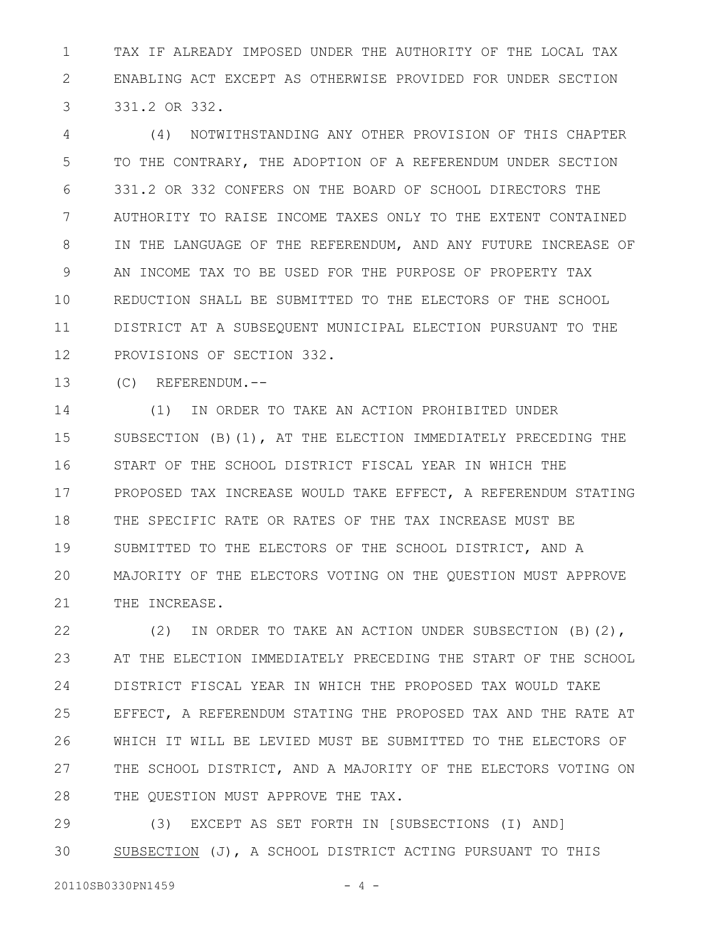TAX IF ALREADY IMPOSED UNDER THE AUTHORITY OF THE LOCAL TAX ENABLING ACT EXCEPT AS OTHERWISE PROVIDED FOR UNDER SECTION 331.2 OR 332. 1 2 3

(4) NOTWITHSTANDING ANY OTHER PROVISION OF THIS CHAPTER TO THE CONTRARY, THE ADOPTION OF A REFERENDUM UNDER SECTION 331.2 OR 332 CONFERS ON THE BOARD OF SCHOOL DIRECTORS THE AUTHORITY TO RAISE INCOME TAXES ONLY TO THE EXTENT CONTAINED IN THE LANGUAGE OF THE REFERENDUM, AND ANY FUTURE INCREASE OF AN INCOME TAX TO BE USED FOR THE PURPOSE OF PROPERTY TAX REDUCTION SHALL BE SUBMITTED TO THE ELECTORS OF THE SCHOOL DISTRICT AT A SUBSEQUENT MUNICIPAL ELECTION PURSUANT TO THE PROVISIONS OF SECTION 332. 4 5 6 7 8 9 10 11 12

(C) REFERENDUM.-- 13

(1) IN ORDER TO TAKE AN ACTION PROHIBITED UNDER SUBSECTION (B)(1), AT THE ELECTION IMMEDIATELY PRECEDING THE START OF THE SCHOOL DISTRICT FISCAL YEAR IN WHICH THE PROPOSED TAX INCREASE WOULD TAKE EFFECT, A REFERENDUM STATING THE SPECIFIC RATE OR RATES OF THE TAX INCREASE MUST BE SUBMITTED TO THE ELECTORS OF THE SCHOOL DISTRICT, AND A MAJORITY OF THE ELECTORS VOTING ON THE QUESTION MUST APPROVE THE INCREASE. 14 15 16 17 18 19 20 21

(2) IN ORDER TO TAKE AN ACTION UNDER SUBSECTION (B)(2), AT THE ELECTION IMMEDIATELY PRECEDING THE START OF THE SCHOOL DISTRICT FISCAL YEAR IN WHICH THE PROPOSED TAX WOULD TAKE EFFECT, A REFERENDUM STATING THE PROPOSED TAX AND THE RATE AT WHICH IT WILL BE LEVIED MUST BE SUBMITTED TO THE ELECTORS OF THE SCHOOL DISTRICT, AND A MAJORITY OF THE ELECTORS VOTING ON THE QUESTION MUST APPROVE THE TAX. 22 23 24 25 26 27 28

(3) EXCEPT AS SET FORTH IN [SUBSECTIONS (I) AND] SUBSECTION (J), A SCHOOL DISTRICT ACTING PURSUANT TO THIS 29 30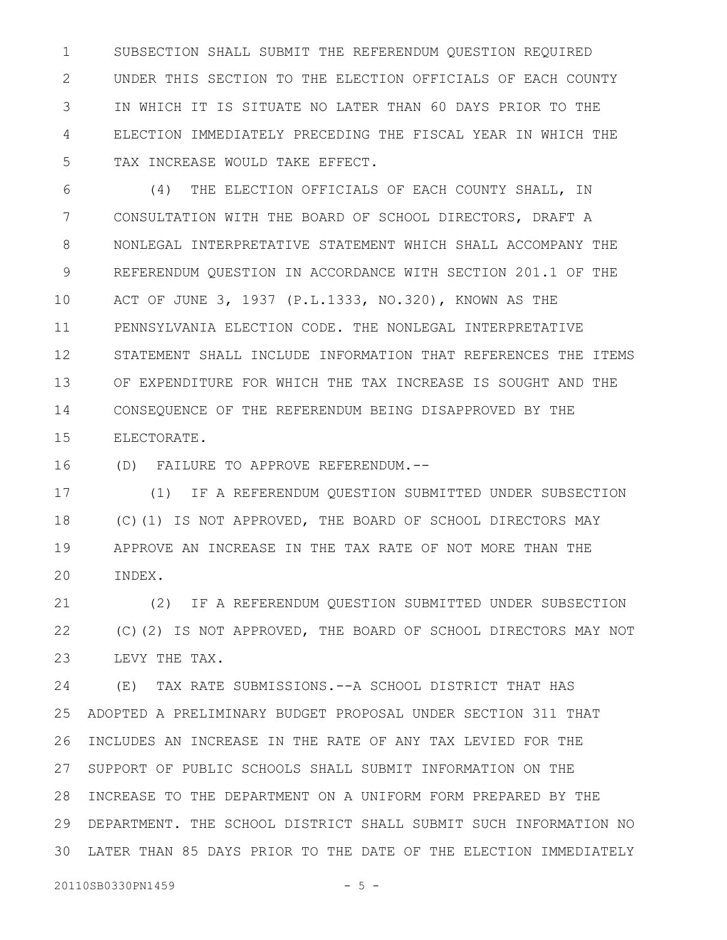SUBSECTION SHALL SUBMIT THE REFERENDUM QUESTION REQUIRED UNDER THIS SECTION TO THE ELECTION OFFICIALS OF EACH COUNTY IN WHICH IT IS SITUATE NO LATER THAN 60 DAYS PRIOR TO THE ELECTION IMMEDIATELY PRECEDING THE FISCAL YEAR IN WHICH THE TAX INCREASE WOULD TAKE EFFECT. 1 2 3 4 5

(4) THE ELECTION OFFICIALS OF EACH COUNTY SHALL, IN CONSULTATION WITH THE BOARD OF SCHOOL DIRECTORS, DRAFT A NONLEGAL INTERPRETATIVE STATEMENT WHICH SHALL ACCOMPANY THE REFERENDUM QUESTION IN ACCORDANCE WITH SECTION 201.1 OF THE ACT OF JUNE 3, 1937 (P.L.1333, NO.320), KNOWN AS THE PENNSYLVANIA ELECTION CODE. THE NONLEGAL INTERPRETATIVE STATEMENT SHALL INCLUDE INFORMATION THAT REFERENCES THE ITEMS OF EXPENDITURE FOR WHICH THE TAX INCREASE IS SOUGHT AND THE CONSEQUENCE OF THE REFERENDUM BEING DISAPPROVED BY THE ELECTORATE. 6 7 8 9 10 11 12 13 14 15

(D) FAILURE TO APPROVE REFERENDUM.-- 16

(1) IF A REFERENDUM QUESTION SUBMITTED UNDER SUBSECTION (C)(1) IS NOT APPROVED, THE BOARD OF SCHOOL DIRECTORS MAY APPROVE AN INCREASE IN THE TAX RATE OF NOT MORE THAN THE INDEX. 17 18 19 20

(2) IF A REFERENDUM QUESTION SUBMITTED UNDER SUBSECTION (C)(2) IS NOT APPROVED, THE BOARD OF SCHOOL DIRECTORS MAY NOT LEVY THE TAX. 21 22 23

(E) TAX RATE SUBMISSIONS.--A SCHOOL DISTRICT THAT HAS ADOPTED A PRELIMINARY BUDGET PROPOSAL UNDER SECTION 311 THAT INCLUDES AN INCREASE IN THE RATE OF ANY TAX LEVIED FOR THE SUPPORT OF PUBLIC SCHOOLS SHALL SUBMIT INFORMATION ON THE 28 INCREASE TO THE DEPARTMENT ON A UNIFORM FORM PREPARED BY THE DEPARTMENT. THE SCHOOL DISTRICT SHALL SUBMIT SUCH INFORMATION NO LATER THAN 85 DAYS PRIOR TO THE DATE OF THE ELECTION IMMEDIATELY 3024 25 26 27 29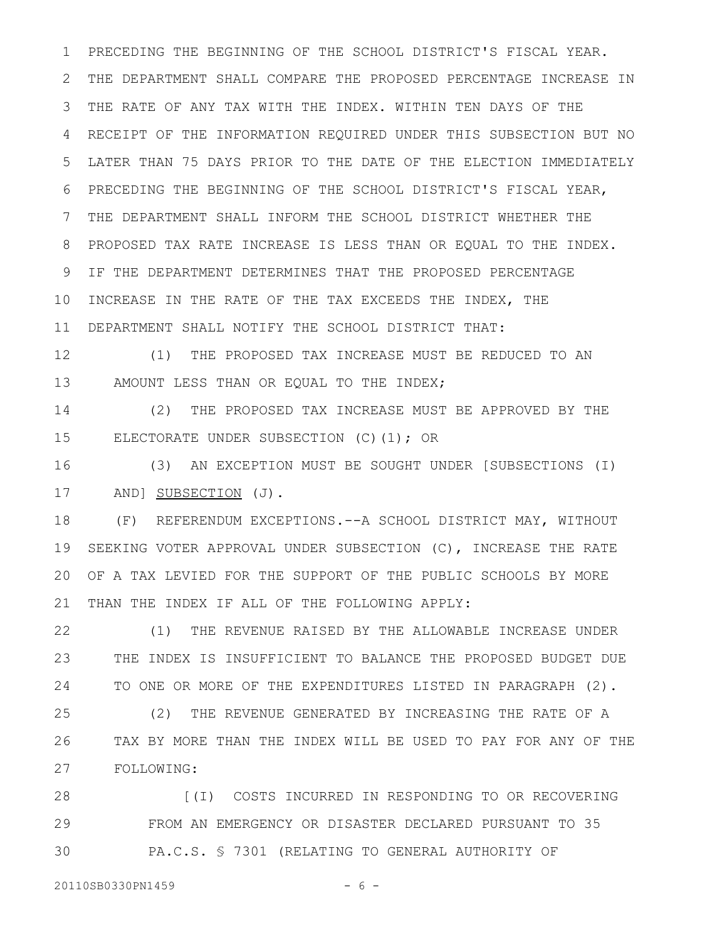PRECEDING THE BEGINNING OF THE SCHOOL DISTRICT'S FISCAL YEAR. THE DEPARTMENT SHALL COMPARE THE PROPOSED PERCENTAGE INCREASE IN THE RATE OF ANY TAX WITH THE INDEX. WITHIN TEN DAYS OF THE RECEIPT OF THE INFORMATION REQUIRED UNDER THIS SUBSECTION BUT NO LATER THAN 75 DAYS PRIOR TO THE DATE OF THE ELECTION IMMEDIATELY PRECEDING THE BEGINNING OF THE SCHOOL DISTRICT'S FISCAL YEAR, THE DEPARTMENT SHALL INFORM THE SCHOOL DISTRICT WHETHER THE PROPOSED TAX RATE INCREASE IS LESS THAN OR EOUAL TO THE INDEX. IF THE DEPARTMENT DETERMINES THAT THE PROPOSED PERCENTAGE INCREASE IN THE RATE OF THE TAX EXCEEDS THE INDEX, THE DEPARTMENT SHALL NOTIFY THE SCHOOL DISTRICT THAT: 1 2 3 4 5 6 7 8 9 10 11

(1) THE PROPOSED TAX INCREASE MUST BE REDUCED TO AN AMOUNT LESS THAN OR EQUAL TO THE INDEX; 12 13

(2) THE PROPOSED TAX INCREASE MUST BE APPROVED BY THE ELECTORATE UNDER SUBSECTION (C)(1); OR 14 15

(3) AN EXCEPTION MUST BE SOUGHT UNDER [SUBSECTIONS (I) AND] **SUBSECTION** (J). 16 17

(F) REFERENDUM EXCEPTIONS.--A SCHOOL DISTRICT MAY, WITHOUT SEEKING VOTER APPROVAL UNDER SUBSECTION (C), INCREASE THE RATE OF A TAX LEVIED FOR THE SUPPORT OF THE PUBLIC SCHOOLS BY MORE THAN THE INDEX IF ALL OF THE FOLLOWING APPLY: 18 19 20 21

(1) THE REVENUE RAISED BY THE ALLOWABLE INCREASE UNDER THE INDEX IS INSUFFICIENT TO BALANCE THE PROPOSED BUDGET DUE TO ONE OR MORE OF THE EXPENDITURES LISTED IN PARAGRAPH (2). 22 23 24

(2) THE REVENUE GENERATED BY INCREASING THE RATE OF A TAX BY MORE THAN THE INDEX WILL BE USED TO PAY FOR ANY OF THE FOLLOWING: 25 26 27

[(I) COSTS INCURRED IN RESPONDING TO OR RECOVERING FROM AN EMERGENCY OR DISASTER DECLARED PURSUANT TO 35 PA.C.S. § 7301 (RELATING TO GENERAL AUTHORITY OF 28 29 30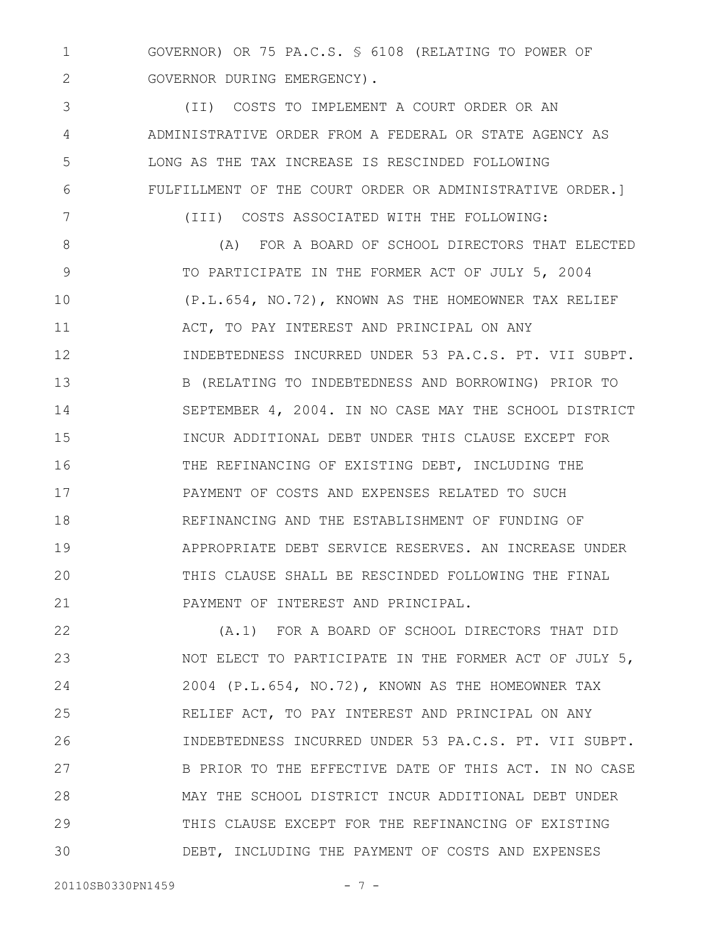GOVERNOR) OR 75 PA.C.S. § 6108 (RELATING TO POWER OF GOVERNOR DURING EMERGENCY). 1 2

(II) COSTS TO IMPLEMENT A COURT ORDER OR AN ADMINISTRATIVE ORDER FROM A FEDERAL OR STATE AGENCY AS LONG AS THE TAX INCREASE IS RESCINDED FOLLOWING FULFILLMENT OF THE COURT ORDER OR ADMINISTRATIVE ORDER.] 3 4 5 6 7

(III) COSTS ASSOCIATED WITH THE FOLLOWING:

(A) FOR A BOARD OF SCHOOL DIRECTORS THAT ELECTED TO PARTICIPATE IN THE FORMER ACT OF JULY 5, 2004 (P.L.654, NO.72), KNOWN AS THE HOMEOWNER TAX RELIEF ACT, TO PAY INTEREST AND PRINCIPAL ON ANY INDEBTEDNESS INCURRED UNDER 53 PA.C.S. PT. VII SUBPT. B (RELATING TO INDEBTEDNESS AND BORROWING) PRIOR TO SEPTEMBER 4, 2004. IN NO CASE MAY THE SCHOOL DISTRICT INCUR ADDITIONAL DEBT UNDER THIS CLAUSE EXCEPT FOR THE REFINANCING OF EXISTING DEBT, INCLUDING THE PAYMENT OF COSTS AND EXPENSES RELATED TO SUCH REFINANCING AND THE ESTABLISHMENT OF FUNDING OF APPROPRIATE DEBT SERVICE RESERVES. AN INCREASE UNDER THIS CLAUSE SHALL BE RESCINDED FOLLOWING THE FINAL PAYMENT OF INTEREST AND PRINCIPAL. 8 9 10 11 12 13 14 15 16 17 18 19 20 21

(A.1) FOR A BOARD OF SCHOOL DIRECTORS THAT DID NOT ELECT TO PARTICIPATE IN THE FORMER ACT OF JULY 5, 2004 (P.L.654, NO.72), KNOWN AS THE HOMEOWNER TAX RELIEF ACT, TO PAY INTEREST AND PRINCIPAL ON ANY INDEBTEDNESS INCURRED UNDER 53 PA.C.S. PT. VII SUBPT. B PRIOR TO THE EFFECTIVE DATE OF THIS ACT. IN NO CASE MAY THE SCHOOL DISTRICT INCUR ADDITIONAL DEBT UNDER THIS CLAUSE EXCEPT FOR THE REFINANCING OF EXISTING DEBT, INCLUDING THE PAYMENT OF COSTS AND EXPENSES 22 23 24 25 26 27 28 29 30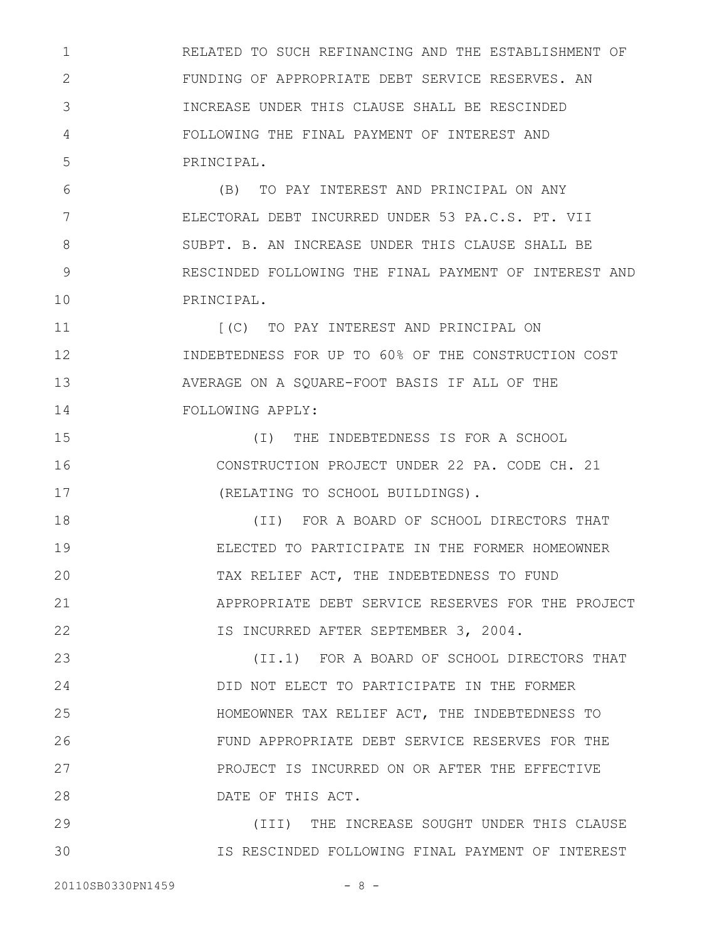RELATED TO SUCH REFINANCING AND THE ESTABLISHMENT OF FUNDING OF APPROPRIATE DEBT SERVICE RESERVES. AN INCREASE UNDER THIS CLAUSE SHALL BE RESCINDED FOLLOWING THE FINAL PAYMENT OF INTEREST AND PRINCIPAL. 1 2 3 4 5

(B) TO PAY INTEREST AND PRINCIPAL ON ANY ELECTORAL DEBT INCURRED UNDER 53 PA.C.S. PT. VII SUBPT. B. AN INCREASE UNDER THIS CLAUSE SHALL BE RESCINDED FOLLOWING THE FINAL PAYMENT OF INTEREST AND PRINCIPAL. 6 7 8 9 10

[(C) TO PAY INTEREST AND PRINCIPAL ON INDEBTEDNESS FOR UP TO 60% OF THE CONSTRUCTION COST AVERAGE ON A SQUARE-FOOT BASIS IF ALL OF THE FOLLOWING APPLY: 11 12 13 14

(I) THE INDEBTEDNESS IS FOR A SCHOOL CONSTRUCTION PROJECT UNDER 22 PA. CODE CH. 21 (RELATING TO SCHOOL BUILDINGS). 15 16 17

(II) FOR A BOARD OF SCHOOL DIRECTORS THAT ELECTED TO PARTICIPATE IN THE FORMER HOMEOWNER TAX RELIEF ACT, THE INDEBTEDNESS TO FUND APPROPRIATE DEBT SERVICE RESERVES FOR THE PROJECT IS INCURRED AFTER SEPTEMBER 3, 2004. 18 19 20 21 22

(II.1) FOR A BOARD OF SCHOOL DIRECTORS THAT DID NOT ELECT TO PARTICIPATE IN THE FORMER HOMEOWNER TAX RELIEF ACT, THE INDEBTEDNESS TO FUND APPROPRIATE DEBT SERVICE RESERVES FOR THE PROJECT IS INCURRED ON OR AFTER THE EFFECTIVE DATE OF THIS ACT. 23 24 25 26 27 28

(III) THE INCREASE SOUGHT UNDER THIS CLAUSE IS RESCINDED FOLLOWING FINAL PAYMENT OF INTEREST 29 30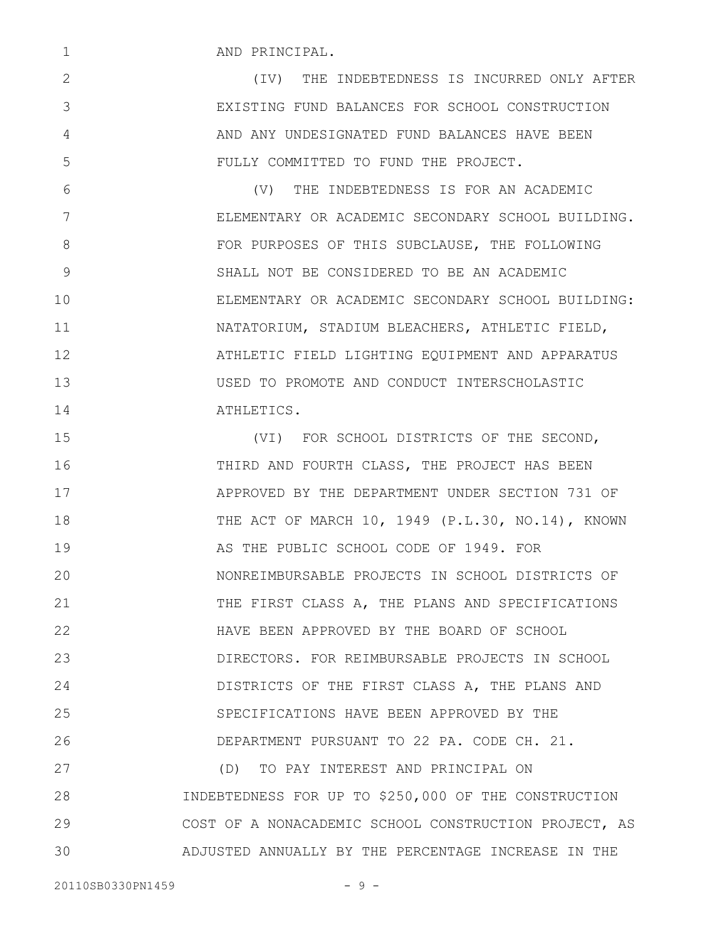AND PRINCIPAL.

1

2

3

4

5

6

7

8

9

10

11

12

13

14

(IV) THE INDEBTEDNESS IS INCURRED ONLY AFTER EXISTING FUND BALANCES FOR SCHOOL CONSTRUCTION AND ANY UNDESIGNATED FUND BALANCES HAVE BEEN FULLY COMMITTED TO FUND THE PROJECT.

(V) THE INDEBTEDNESS IS FOR AN ACADEMIC ELEMENTARY OR ACADEMIC SECONDARY SCHOOL BUILDING. FOR PURPOSES OF THIS SUBCLAUSE, THE FOLLOWING SHALL NOT BE CONSIDERED TO BE AN ACADEMIC ELEMENTARY OR ACADEMIC SECONDARY SCHOOL BUILDING: NATATORIUM, STADIUM BLEACHERS, ATHLETIC FIELD, ATHLETIC FIELD LIGHTING EQUIPMENT AND APPARATUS USED TO PROMOTE AND CONDUCT INTERSCHOLASTIC ATHLETICS.

(VI) FOR SCHOOL DISTRICTS OF THE SECOND, THIRD AND FOURTH CLASS, THE PROJECT HAS BEEN APPROVED BY THE DEPARTMENT UNDER SECTION 731 OF THE ACT OF MARCH 10, 1949 (P.L.30, NO.14), KNOWN AS THE PUBLIC SCHOOL CODE OF 1949. FOR NONREIMBURSABLE PROJECTS IN SCHOOL DISTRICTS OF THE FIRST CLASS A, THE PLANS AND SPECIFICATIONS HAVE BEEN APPROVED BY THE BOARD OF SCHOOL DIRECTORS. FOR REIMBURSABLE PROJECTS IN SCHOOL DISTRICTS OF THE FIRST CLASS A, THE PLANS AND SPECIFICATIONS HAVE BEEN APPROVED BY THE DEPARTMENT PURSUANT TO 22 PA. CODE CH. 21. (D) TO PAY INTEREST AND PRINCIPAL ON INDEBTEDNESS FOR UP TO \$250,000 OF THE CONSTRUCTION COST OF A NONACADEMIC SCHOOL CONSTRUCTION PROJECT, AS 15 16 17 18 19 20 21 22 23 24 25 26 27 28 29

ADJUSTED ANNUALLY BY THE PERCENTAGE INCREASE IN THE 30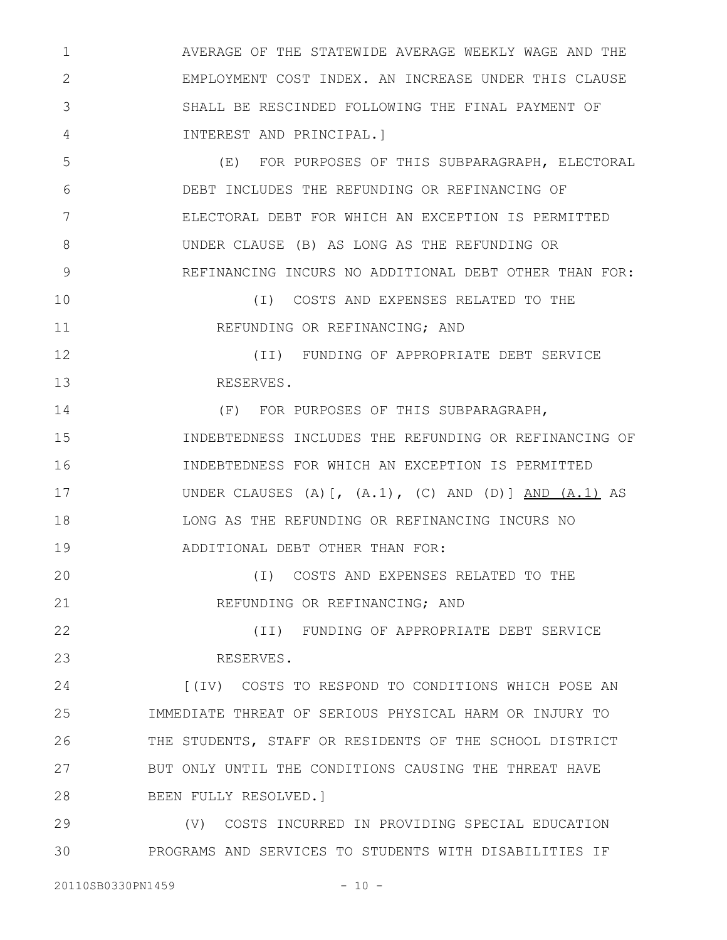AVERAGE OF THE STATEWIDE AVERAGE WEEKLY WAGE AND THE EMPLOYMENT COST INDEX. AN INCREASE UNDER THIS CLAUSE SHALL BE RESCINDED FOLLOWING THE FINAL PAYMENT OF INTEREST AND PRINCIPAL.] 1 2 3 4

(E) FOR PURPOSES OF THIS SUBPARAGRAPH, ELECTORAL DEBT INCLUDES THE REFUNDING OR REFINANCING OF ELECTORAL DEBT FOR WHICH AN EXCEPTION IS PERMITTED UNDER CLAUSE (B) AS LONG AS THE REFUNDING OR REFINANCING INCURS NO ADDITIONAL DEBT OTHER THAN FOR: 5 6 7 8 9

(I) COSTS AND EXPENSES RELATED TO THE REFUNDING OR REFINANCING; AND 10 11

(II) FUNDING OF APPROPRIATE DEBT SERVICE RESERVES. 12 13

(F) FOR PURPOSES OF THIS SUBPARAGRAPH, INDEBTEDNESS INCLUDES THE REFUNDING OR REFINANCING OF INDEBTEDNESS FOR WHICH AN EXCEPTION IS PERMITTED UNDER CLAUSES  $(A)$   $(A,1)$ ,  $(C)$  AND  $(D)$   $(A,1)$  AS LONG AS THE REFUNDING OR REFINANCING INCURS NO ADDITIONAL DEBT OTHER THAN FOR: 14 15 16 17 18 19

(I) COSTS AND EXPENSES RELATED TO THE REFUNDING OR REFINANCING; AND 20 21

(II) FUNDING OF APPROPRIATE DEBT SERVICE RESERVES. 22 23

[(IV) COSTS TO RESPOND TO CONDITIONS WHICH POSE AN IMMEDIATE THREAT OF SERIOUS PHYSICAL HARM OR INJURY TO THE STUDENTS, STAFF OR RESIDENTS OF THE SCHOOL DISTRICT BUT ONLY UNTIL THE CONDITIONS CAUSING THE THREAT HAVE BEEN FULLY RESOLVED.] 24 25 26 27 28

(V) COSTS INCURRED IN PROVIDING SPECIAL EDUCATION PROGRAMS AND SERVICES TO STUDENTS WITH DISABILITIES IF 29 30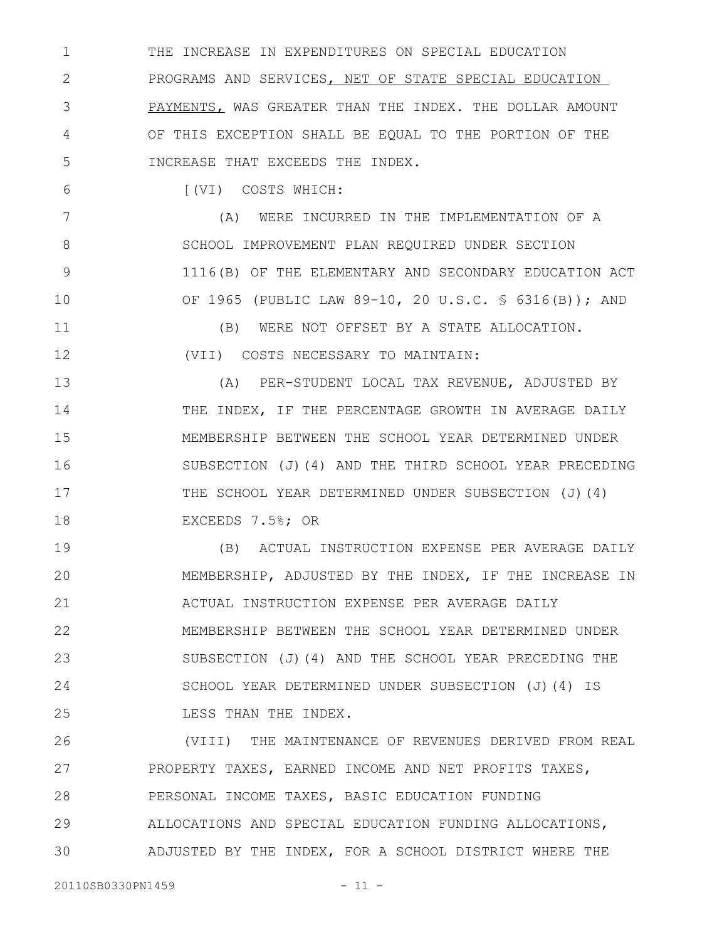THE INCREASE IN EXPENDITURES ON SPECIAL EDUCATION PROGRAMS AND SERVICES, NET OF STATE SPECIAL EDUCATION PAYMENTS, WAS GREATER THAN THE INDEX. THE DOLLAR AMOUNT OF THIS EXCEPTION SHALL BE EQUAL TO THE PORTION OF THE INCREASE THAT EXCEEDS THE INDEX. 1 2 3 4 5

6

[(VI) COSTS WHICH:

(A) WERE INCURRED IN THE IMPLEMENTATION OF A SCHOOL IMPROVEMENT PLAN REQUIRED UNDER SECTION 1116(B) OF THE ELEMENTARY AND SECONDARY EDUCATION ACT OF 1965 (PUBLIC LAW 89-10, 20 U.S.C. § 6316(B)); AND 7 8 9 10

(B) WERE NOT OFFSET BY A STATE ALLOCATION. (VII) COSTS NECESSARY TO MAINTAIN: 11 12

(A) PER-STUDENT LOCAL TAX REVENUE, ADJUSTED BY THE INDEX, IF THE PERCENTAGE GROWTH IN AVERAGE DAILY MEMBERSHIP BETWEEN THE SCHOOL YEAR DETERMINED UNDER SUBSECTION (J)(4) AND THE THIRD SCHOOL YEAR PRECEDING THE SCHOOL YEAR DETERMINED UNDER SUBSECTION (J)(4) EXCEEDS 7.5%; OR 13 14 15 16 17 18

(B) ACTUAL INSTRUCTION EXPENSE PER AVERAGE DAILY MEMBERSHIP, ADJUSTED BY THE INDEX, IF THE INCREASE IN ACTUAL INSTRUCTION EXPENSE PER AVERAGE DAILY MEMBERSHIP BETWEEN THE SCHOOL YEAR DETERMINED UNDER SUBSECTION (J)(4) AND THE SCHOOL YEAR PRECEDING THE SCHOOL YEAR DETERMINED UNDER SUBSECTION (J)(4) IS LESS THAN THE INDEX. 19 20 21 22 23 24 25

(VIII) THE MAINTENANCE OF REVENUES DERIVED FROM REAL PROPERTY TAXES, EARNED INCOME AND NET PROFITS TAXES, PERSONAL INCOME TAXES, BASIC EDUCATION FUNDING ALLOCATIONS AND SPECIAL EDUCATION FUNDING ALLOCATIONS, ADJUSTED BY THE INDEX, FOR A SCHOOL DISTRICT WHERE THE 26 27 28 29 30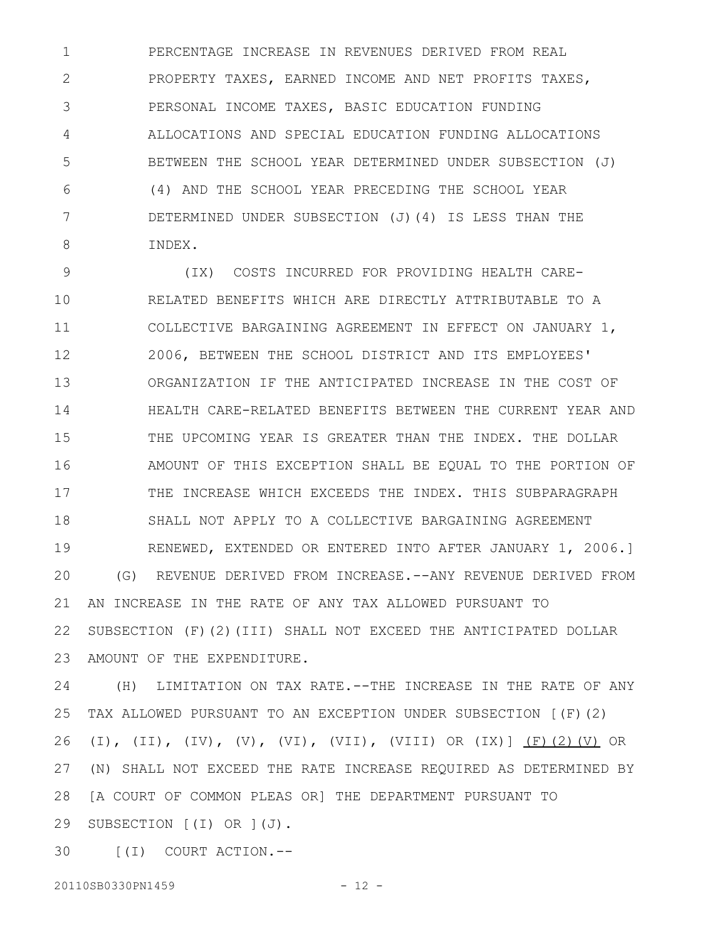PERCENTAGE INCREASE IN REVENUES DERIVED FROM REAL PROPERTY TAXES, EARNED INCOME AND NET PROFITS TAXES, PERSONAL INCOME TAXES, BASIC EDUCATION FUNDING ALLOCATIONS AND SPECIAL EDUCATION FUNDING ALLOCATIONS BETWEEN THE SCHOOL YEAR DETERMINED UNDER SUBSECTION (J) (4) AND THE SCHOOL YEAR PRECEDING THE SCHOOL YEAR DETERMINED UNDER SUBSECTION (J)(4) IS LESS THAN THE INDEX. 1 2 3 4 5 6 7 8

(IX) COSTS INCURRED FOR PROVIDING HEALTH CARE-RELATED BENEFITS WHICH ARE DIRECTLY ATTRIBUTABLE TO A COLLECTIVE BARGAINING AGREEMENT IN EFFECT ON JANUARY 1, 2006, BETWEEN THE SCHOOL DISTRICT AND ITS EMPLOYEES' ORGANIZATION IF THE ANTICIPATED INCREASE IN THE COST OF HEALTH CARE-RELATED BENEFITS BETWEEN THE CURRENT YEAR AND THE UPCOMING YEAR IS GREATER THAN THE INDEX. THE DOLLAR AMOUNT OF THIS EXCEPTION SHALL BE EQUAL TO THE PORTION OF THE INCREASE WHICH EXCEEDS THE INDEX. THIS SUBPARAGRAPH SHALL NOT APPLY TO A COLLECTIVE BARGAINING AGREEMENT RENEWED, EXTENDED OR ENTERED INTO AFTER JANUARY 1, 2006.] (G) REVENUE DERIVED FROM INCREASE.--ANY REVENUE DERIVED FROM AN INCREASE IN THE RATE OF ANY TAX ALLOWED PURSUANT TO SUBSECTION (F)(2)(III) SHALL NOT EXCEED THE ANTICIPATED DOLLAR AMOUNT OF THE EXPENDITURE. 9 10 11 12 13 14 15 16 17 18 19 20 21 22 23

(H) LIMITATION ON TAX RATE.--THE INCREASE IN THE RATE OF ANY TAX ALLOWED PURSUANT TO AN EXCEPTION UNDER SUBSECTION [(F)(2) (I), (II), (IV), (V), (VI), (VII), (VIII) OR (IX)] (F)(2)(V) OR (N) SHALL NOT EXCEED THE RATE INCREASE REQUIRED AS DETERMINED BY [A COURT OF COMMON PLEAS OR] THE DEPARTMENT PURSUANT TO SUBSECTION [(I) OR ](J). 24 25 26 27 28 29

[(I) COURT ACTION.-- 30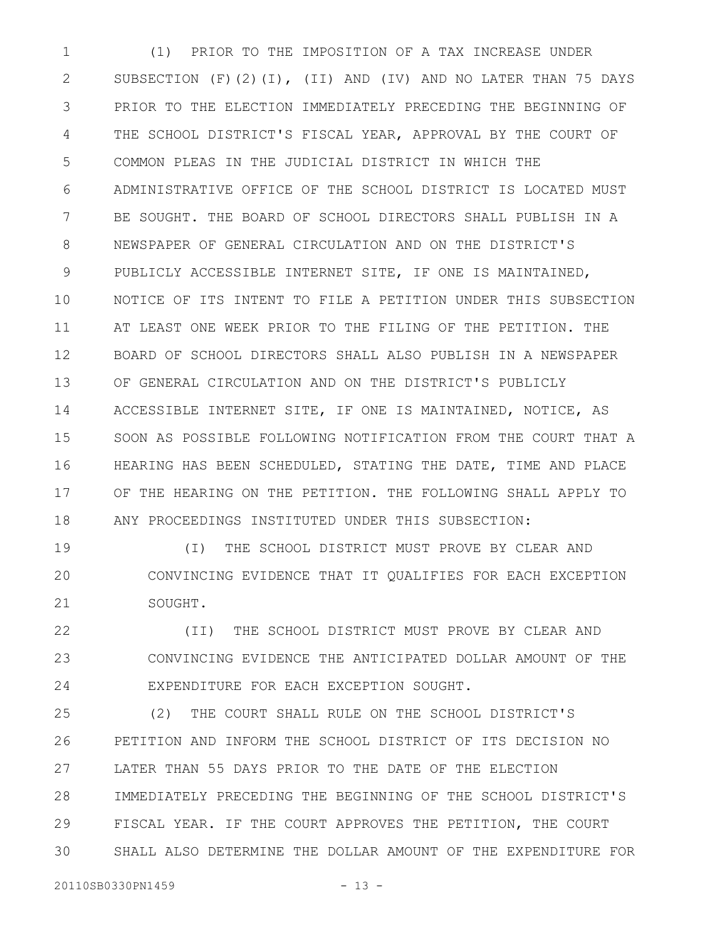(1) PRIOR TO THE IMPOSITION OF A TAX INCREASE UNDER SUBSECTION (F)(2)(I), (II) AND (IV) AND NO LATER THAN 75 DAYS PRIOR TO THE ELECTION IMMEDIATELY PRECEDING THE BEGINNING OF THE SCHOOL DISTRICT'S FISCAL YEAR, APPROVAL BY THE COURT OF COMMON PLEAS IN THE JUDICIAL DISTRICT IN WHICH THE ADMINISTRATIVE OFFICE OF THE SCHOOL DISTRICT IS LOCATED MUST BE SOUGHT. THE BOARD OF SCHOOL DIRECTORS SHALL PUBLISH IN A NEWSPAPER OF GENERAL CIRCULATION AND ON THE DISTRICT'S PUBLICLY ACCESSIBLE INTERNET SITE, IF ONE IS MAINTAINED, NOTICE OF ITS INTENT TO FILE A PETITION UNDER THIS SUBSECTION AT LEAST ONE WEEK PRIOR TO THE FILING OF THE PETITION. THE BOARD OF SCHOOL DIRECTORS SHALL ALSO PUBLISH IN A NEWSPAPER OF GENERAL CIRCULATION AND ON THE DISTRICT'S PUBLICLY ACCESSIBLE INTERNET SITE, IF ONE IS MAINTAINED, NOTICE, AS SOON AS POSSIBLE FOLLOWING NOTIFICATION FROM THE COURT THAT A HEARING HAS BEEN SCHEDULED, STATING THE DATE, TIME AND PLACE OF THE HEARING ON THE PETITION. THE FOLLOWING SHALL APPLY TO ANY PROCEEDINGS INSTITUTED UNDER THIS SUBSECTION: 1 2 3 4 5 6 7 8 9 10 11 12 13 14 15 16 17 18

(I) THE SCHOOL DISTRICT MUST PROVE BY CLEAR AND CONVINCING EVIDENCE THAT IT QUALIFIES FOR EACH EXCEPTION SOUGHT. 19 20 21

(II) THE SCHOOL DISTRICT MUST PROVE BY CLEAR AND CONVINCING EVIDENCE THE ANTICIPATED DOLLAR AMOUNT OF THE EXPENDITURE FOR EACH EXCEPTION SOUGHT. 22 23 24

(2) THE COURT SHALL RULE ON THE SCHOOL DISTRICT'S PETITION AND INFORM THE SCHOOL DISTRICT OF ITS DECISION NO LATER THAN 55 DAYS PRIOR TO THE DATE OF THE ELECTION IMMEDIATELY PRECEDING THE BEGINNING OF THE SCHOOL DISTRICT'S FISCAL YEAR. IF THE COURT APPROVES THE PETITION, THE COURT SHALL ALSO DETERMINE THE DOLLAR AMOUNT OF THE EXPENDITURE FOR 25 26 27 28 29 30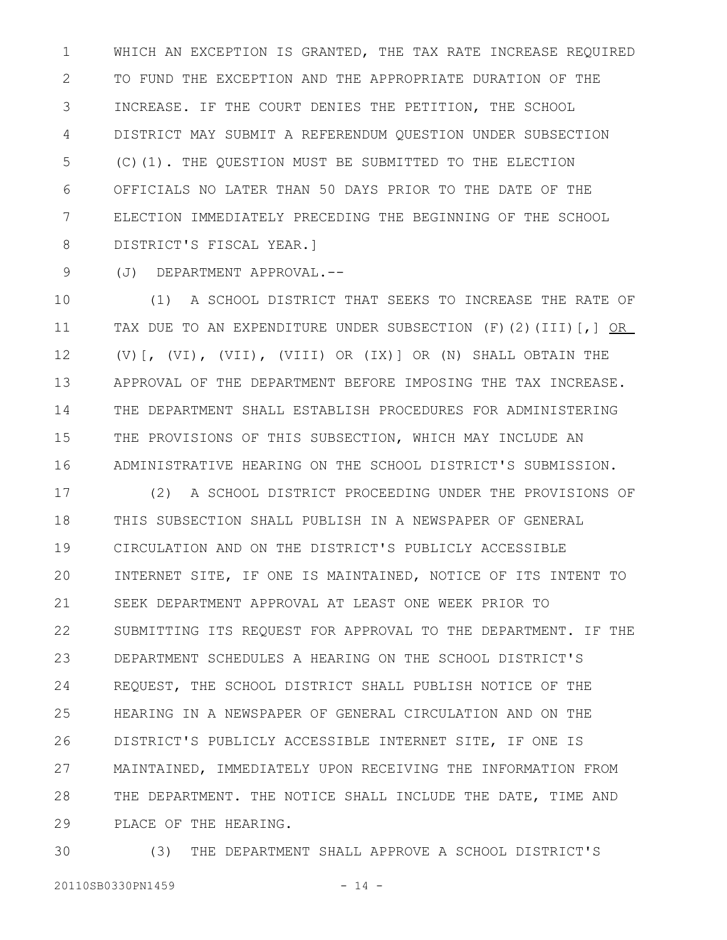WHICH AN EXCEPTION IS GRANTED, THE TAX RATE INCREASE REQUIRED TO FUND THE EXCEPTION AND THE APPROPRIATE DURATION OF THE INCREASE. IF THE COURT DENIES THE PETITION, THE SCHOOL DISTRICT MAY SUBMIT A REFERENDUM QUESTION UNDER SUBSECTION (C)(1). THE QUESTION MUST BE SUBMITTED TO THE ELECTION OFFICIALS NO LATER THAN 50 DAYS PRIOR TO THE DATE OF THE ELECTION IMMEDIATELY PRECEDING THE BEGINNING OF THE SCHOOL DISTRICT'S FISCAL YEAR.] 1 2 3 4 5 6 7 8

9

(J) DEPARTMENT APPROVAL.--

(1) A SCHOOL DISTRICT THAT SEEKS TO INCREASE THE RATE OF TAX DUE TO AN EXPENDITURE UNDER SUBSECTION (F)(2)(III)[,] OR (V)[, (VI), (VII), (VIII) OR (IX)] OR (N) SHALL OBTAIN THE APPROVAL OF THE DEPARTMENT BEFORE IMPOSING THE TAX INCREASE. THE DEPARTMENT SHALL ESTABLISH PROCEDURES FOR ADMINISTERING THE PROVISIONS OF THIS SUBSECTION, WHICH MAY INCLUDE AN ADMINISTRATIVE HEARING ON THE SCHOOL DISTRICT'S SUBMISSION. 10 11 12 13 14 15 16

(2) A SCHOOL DISTRICT PROCEEDING UNDER THE PROVISIONS OF THIS SUBSECTION SHALL PUBLISH IN A NEWSPAPER OF GENERAL CIRCULATION AND ON THE DISTRICT'S PUBLICLY ACCESSIBLE INTERNET SITE, IF ONE IS MAINTAINED, NOTICE OF ITS INTENT TO SEEK DEPARTMENT APPROVAL AT LEAST ONE WEEK PRIOR TO SUBMITTING ITS REQUEST FOR APPROVAL TO THE DEPARTMENT. IF THE DEPARTMENT SCHEDULES A HEARING ON THE SCHOOL DISTRICT'S REQUEST, THE SCHOOL DISTRICT SHALL PUBLISH NOTICE OF THE HEARING IN A NEWSPAPER OF GENERAL CIRCULATION AND ON THE DISTRICT'S PUBLICLY ACCESSIBLE INTERNET SITE, IF ONE IS MAINTAINED, IMMEDIATELY UPON RECEIVING THE INFORMATION FROM THE DEPARTMENT. THE NOTICE SHALL INCLUDE THE DATE, TIME AND PLACE OF THE HEARING. 17 18 19 20 21 22 23 24 25 26 27 28 29

(3) THE DEPARTMENT SHALL APPROVE A SCHOOL DISTRICT'S 20110SB0330PN1459 - 14 -30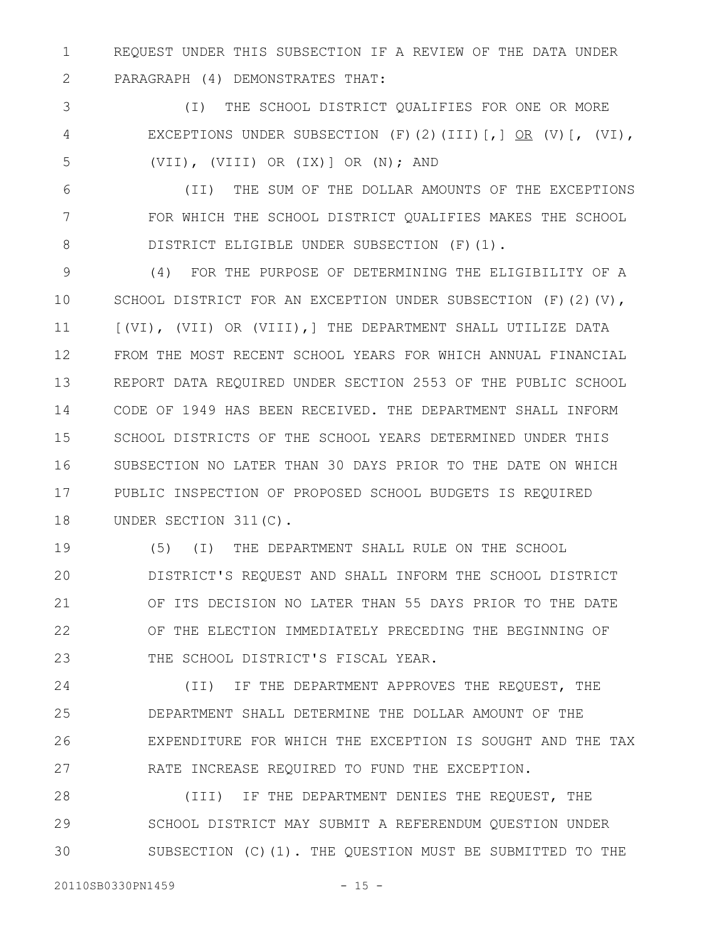REQUEST UNDER THIS SUBSECTION IF A REVIEW OF THE DATA UNDER PARAGRAPH (4) DEMONSTRATES THAT: 1 2

(I) THE SCHOOL DISTRICT QUALIFIES FOR ONE OR MORE EXCEPTIONS UNDER SUBSECTION (F)(2)(III)[,] OR (V)[, (VI), (VII), (VIII) OR (IX)] OR (N); AND 3 4 5

(II) THE SUM OF THE DOLLAR AMOUNTS OF THE EXCEPTIONS FOR WHICH THE SCHOOL DISTRICT QUALIFIES MAKES THE SCHOOL DISTRICT ELIGIBLE UNDER SUBSECTION (F)(1). 6 7 8

(4) FOR THE PURPOSE OF DETERMINING THE ELIGIBILITY OF A SCHOOL DISTRICT FOR AN EXCEPTION UNDER SUBSECTION (F)(2)(V), [(VI), (VII) OR (VIII),] THE DEPARTMENT SHALL UTILIZE DATA FROM THE MOST RECENT SCHOOL YEARS FOR WHICH ANNUAL FINANCIAL REPORT DATA REQUIRED UNDER SECTION 2553 OF THE PUBLIC SCHOOL CODE OF 1949 HAS BEEN RECEIVED. THE DEPARTMENT SHALL INFORM SCHOOL DISTRICTS OF THE SCHOOL YEARS DETERMINED UNDER THIS SUBSECTION NO LATER THAN 30 DAYS PRIOR TO THE DATE ON WHICH PUBLIC INSPECTION OF PROPOSED SCHOOL BUDGETS IS REQUIRED UNDER SECTION 311(C). 9 10 11 12 13 14 15 16 17 18

(5) (I) THE DEPARTMENT SHALL RULE ON THE SCHOOL DISTRICT'S REQUEST AND SHALL INFORM THE SCHOOL DISTRICT OF ITS DECISION NO LATER THAN 55 DAYS PRIOR TO THE DATE OF THE ELECTION IMMEDIATELY PRECEDING THE BEGINNING OF THE SCHOOL DISTRICT'S FISCAL YEAR. 19 20 21 22 23

(II) IF THE DEPARTMENT APPROVES THE REQUEST, THE DEPARTMENT SHALL DETERMINE THE DOLLAR AMOUNT OF THE EXPENDITURE FOR WHICH THE EXCEPTION IS SOUGHT AND THE TAX RATE INCREASE REQUIRED TO FUND THE EXCEPTION. 24 25 26 27

(III) IF THE DEPARTMENT DENIES THE REQUEST, THE SCHOOL DISTRICT MAY SUBMIT A REFERENDUM QUESTION UNDER SUBSECTION (C)(1). THE QUESTION MUST BE SUBMITTED TO THE 28 29 30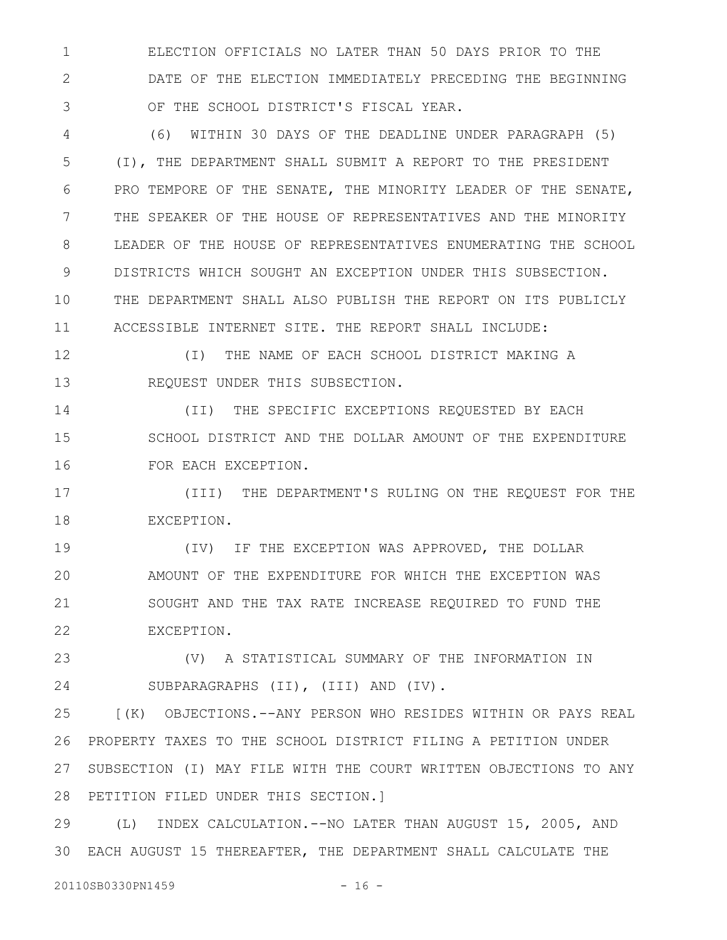ELECTION OFFICIALS NO LATER THAN 50 DAYS PRIOR TO THE DATE OF THE ELECTION IMMEDIATELY PRECEDING THE BEGINNING OF THE SCHOOL DISTRICT'S FISCAL YEAR. 1 2 3

(6) WITHIN 30 DAYS OF THE DEADLINE UNDER PARAGRAPH (5) (I), THE DEPARTMENT SHALL SUBMIT A REPORT TO THE PRESIDENT PRO TEMPORE OF THE SENATE, THE MINORITY LEADER OF THE SENATE, THE SPEAKER OF THE HOUSE OF REPRESENTATIVES AND THE MINORITY LEADER OF THE HOUSE OF REPRESENTATIVES ENUMERATING THE SCHOOL DISTRICTS WHICH SOUGHT AN EXCEPTION UNDER THIS SUBSECTION. THE DEPARTMENT SHALL ALSO PUBLISH THE REPORT ON ITS PUBLICLY ACCESSIBLE INTERNET SITE. THE REPORT SHALL INCLUDE: 4 5 6 7 8 9 10 11

(I) THE NAME OF EACH SCHOOL DISTRICT MAKING A REQUEST UNDER THIS SUBSECTION. 12 13

(II) THE SPECIFIC EXCEPTIONS REQUESTED BY EACH SCHOOL DISTRICT AND THE DOLLAR AMOUNT OF THE EXPENDITURE FOR EACH EXCEPTION. 14 15 16

(III) THE DEPARTMENT'S RULING ON THE REQUEST FOR THE EXCEPTION. 17 18

(IV) IF THE EXCEPTION WAS APPROVED, THE DOLLAR AMOUNT OF THE EXPENDITURE FOR WHICH THE EXCEPTION WAS SOUGHT AND THE TAX RATE INCREASE REQUIRED TO FUND THE EXCEPTION. 19 20 21 22

(V) A STATISTICAL SUMMARY OF THE INFORMATION IN SUBPARAGRAPHS (II), (III) AND (IV). 23 24

[(K) OBJECTIONS.--ANY PERSON WHO RESIDES WITHIN OR PAYS REAL PROPERTY TAXES TO THE SCHOOL DISTRICT FILING A PETITION UNDER SUBSECTION (I) MAY FILE WITH THE COURT WRITTEN OBJECTIONS TO ANY PETITION FILED UNDER THIS SECTION.] 25 26 27 28

(L) INDEX CALCULATION.--NO LATER THAN AUGUST 15, 2005, AND EACH AUGUST 15 THEREAFTER, THE DEPARTMENT SHALL CALCULATE THE 3029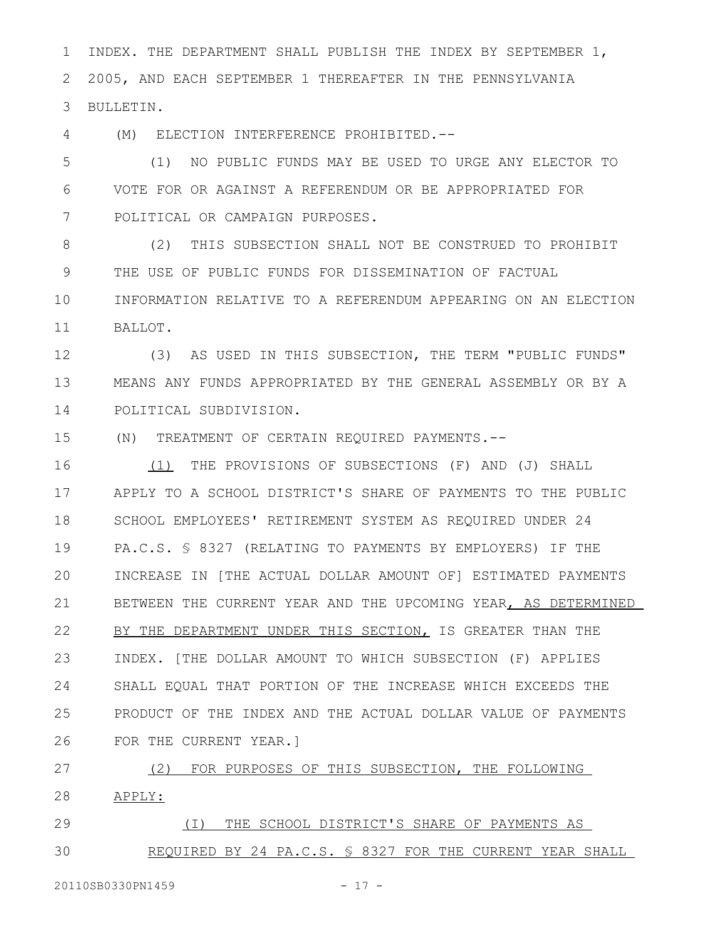INDEX. THE DEPARTMENT SHALL PUBLISH THE INDEX BY SEPTEMBER 1, 2005, AND EACH SEPTEMBER 1 THEREAFTER IN THE PENNSYLVANIA BULLETIN. 1 2 3

(M) ELECTION INTERFERENCE PROHIBITED.-- 4

(1) NO PUBLIC FUNDS MAY BE USED TO URGE ANY ELECTOR TO VOTE FOR OR AGAINST A REFERENDUM OR BE APPROPRIATED FOR POLITICAL OR CAMPAIGN PURPOSES. 5 6 7

(2) THIS SUBSECTION SHALL NOT BE CONSTRUED TO PROHIBIT THE USE OF PUBLIC FUNDS FOR DISSEMINATION OF FACTUAL INFORMATION RELATIVE TO A REFERENDUM APPEARING ON AN ELECTION BALLOT. 8 9 10 11

(3) AS USED IN THIS SUBSECTION, THE TERM "PUBLIC FUNDS" MEANS ANY FUNDS APPROPRIATED BY THE GENERAL ASSEMBLY OR BY A POLITICAL SUBDIVISION. 12 13 14

(N) TREATMENT OF CERTAIN REQUIRED PAYMENTS.-- 15

(1) THE PROVISIONS OF SUBSECTIONS (F) AND (J) SHALL APPLY TO A SCHOOL DISTRICT'S SHARE OF PAYMENTS TO THE PUBLIC SCHOOL EMPLOYEES' RETIREMENT SYSTEM AS REQUIRED UNDER 24 PA.C.S. § 8327 (RELATING TO PAYMENTS BY EMPLOYERS) IF THE INCREASE IN [THE ACTUAL DOLLAR AMOUNT OF] ESTIMATED PAYMENTS BETWEEN THE CURRENT YEAR AND THE UPCOMING YEAR, AS DETERMINED BY THE DEPARTMENT UNDER THIS SECTION, IS GREATER THAN THE INDEX. [THE DOLLAR AMOUNT TO WHICH SUBSECTION (F) APPLIES SHALL EQUAL THAT PORTION OF THE INCREASE WHICH EXCEEDS THE PRODUCT OF THE INDEX AND THE ACTUAL DOLLAR VALUE OF PAYMENTS FOR THE CURRENT YEAR.] 16 17 18 19 20 21 22 23 24 25 26

(2) FOR PURPOSES OF THIS SUBSECTION, THE FOLLOWING APPLY: 27 28

(I) THE SCHOOL DISTRICT'S SHARE OF PAYMENTS AS REQUIRED BY 24 PA.C.S. § 8327 FOR THE CURRENT YEAR SHALL 29 30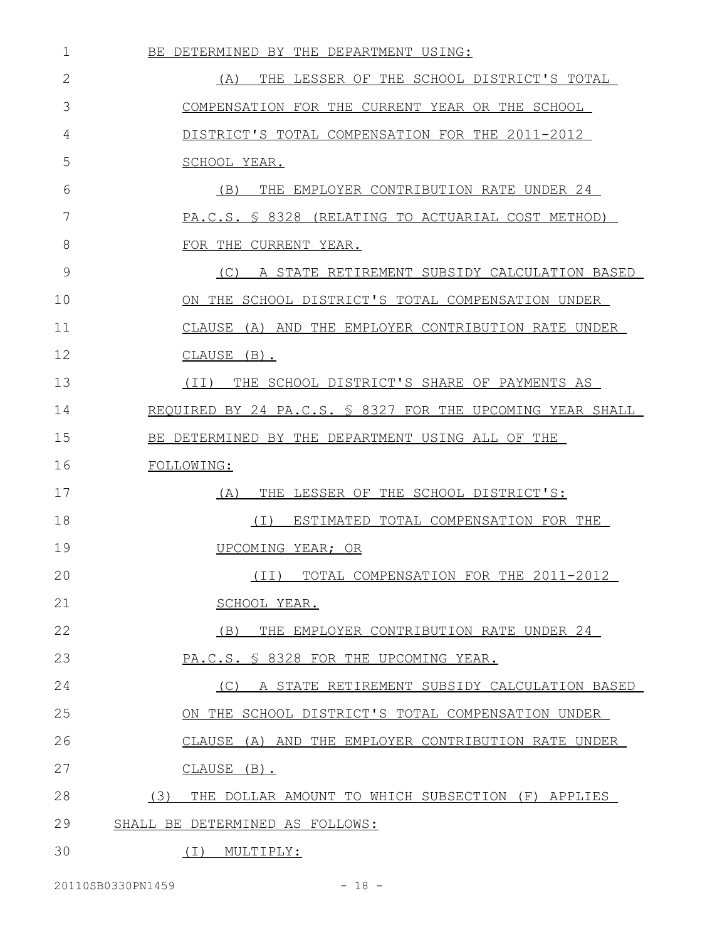| $\mathbf 1$  | BE DETERMINED BY THE DEPARTMENT USING:                    |
|--------------|-----------------------------------------------------------|
| $\mathbf{2}$ | THE LESSER OF THE SCHOOL DISTRICT'S TOTAL<br>(A)          |
| 3            | COMPENSATION FOR THE CURRENT YEAR OR THE SCHOOL           |
| 4            | DISTRICT'S TOTAL COMPENSATION FOR THE 2011-2012           |
| 5            | SCHOOL YEAR.                                              |
| 6            | (B)<br>THE EMPLOYER CONTRIBUTION RATE UNDER 24            |
| 7            | PA.C.S. § 8328 (RELATING TO ACTUARIAL COST METHOD)        |
| 8            | FOR THE CURRENT YEAR.                                     |
| 9            | A STATE RETIREMENT SUBSIDY CALCULATION BASED<br>(C)       |
| 10           | ON THE SCHOOL DISTRICT'S TOTAL COMPENSATION UNDER         |
| 11           | CLAUSE (A) AND THE EMPLOYER CONTRIBUTION RATE UNDER       |
| 12           | CLAUSE (B).                                               |
| 13           | THE SCHOOL DISTRICT'S SHARE OF PAYMENTS AS<br>(TT)        |
| 14           | REQUIRED BY 24 PA.C.S. § 8327 FOR THE UPCOMING YEAR SHALL |
| 15           | BE DETERMINED BY THE DEPARTMENT USING ALL OF THE          |
| 16           | FOLLOWING:                                                |
| 17           | THE LESSER OF THE SCHOOL DISTRICT'S:<br>(A)               |
| 18           | ESTIMATED TOTAL COMPENSATION FOR THE<br>( I )             |
| 19           | UPCOMING YEAR; OR                                         |
| 20           | (II) TOTAL COMPENSATION FOR THE 2011-2012                 |
| 21           | SCHOOL YEAR.                                              |
| 22           | (B)<br>THE EMPLOYER CONTRIBUTION RATE UNDER 24            |
| 23           | PA.C.S. § 8328 FOR THE UPCOMING YEAR.                     |
| 24           | (C) A STATE RETIREMENT SUBSIDY CALCULATION BASED          |
| 25           | ON THE SCHOOL DISTRICT'S TOTAL COMPENSATION UNDER         |
| 26           | CLAUSE (A) AND THE EMPLOYER CONTRIBUTION RATE UNDER       |
| 27           | CLAUSE (B).                                               |
| 28           | (3)<br>THE DOLLAR AMOUNT TO WHICH SUBSECTION (F) APPLIES  |
| 29           | SHALL BE DETERMINED AS FOLLOWS:                           |
| 30           | ( I )<br>MULTIPLY:                                        |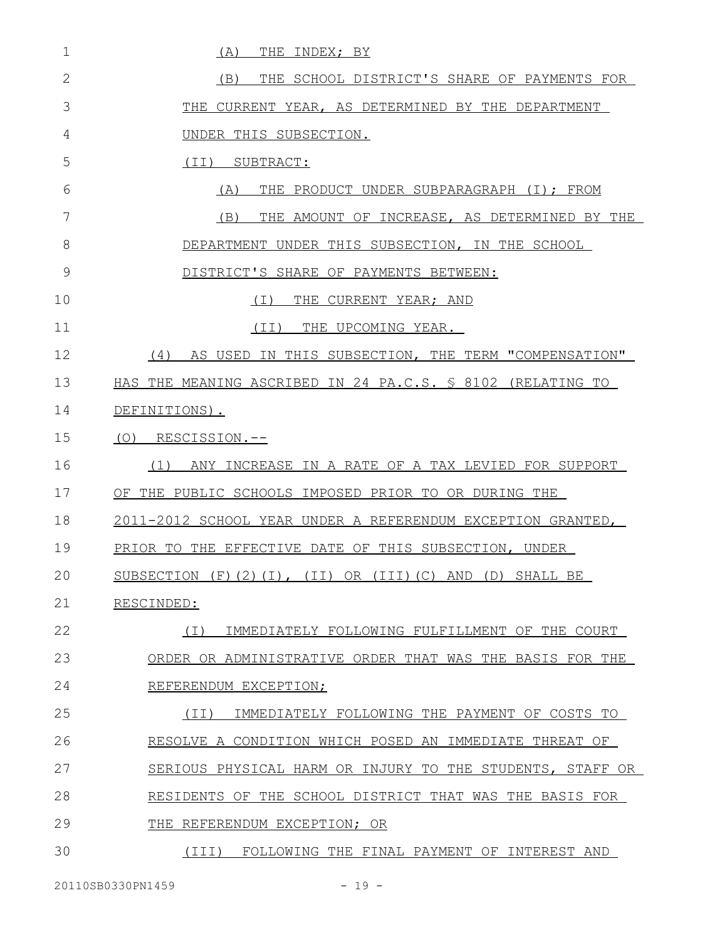| 1  | (A)<br>THE INDEX; BY                                                      |
|----|---------------------------------------------------------------------------|
| 2  | THE SCHOOL DISTRICT'S SHARE OF PAYMENTS FOR<br>(B)                        |
| 3  | THE CURRENT YEAR, AS DETERMINED BY THE DEPARTMENT                         |
| 4  | UNDER THIS SUBSECTION.                                                    |
| 5  | SUBTRACT:<br>(II)                                                         |
| 6  | THE PRODUCT UNDER SUBPARAGRAPH (I); FROM<br>(A)                           |
| 7  | (B)<br>THE AMOUNT OF INCREASE, AS DETERMINED BY THE                       |
| 8  | DEPARTMENT UNDER THIS SUBSECTION, IN THE SCHOOL                           |
| 9  | DISTRICT'S SHARE OF PAYMENTS BETWEEN:                                     |
| 10 | ( I )<br>THE CURRENT YEAR; AND                                            |
| 11 | THE UPCOMING YEAR.<br>(II)                                                |
| 12 | (4)<br>AS USED IN THIS SUBSECTION, THE TERM "COMPENSATION"                |
| 13 | HAS THE MEANING ASCRIBED IN 24 PA.C.S. § 8102 (RELATING TO                |
| 14 | DEFINITIONS).                                                             |
| 15 | (O)<br>RESCISSION.--                                                      |
| 16 | (1)<br>ANY INCREASE IN A RATE OF A TAX LEVIED FOR SUPPORT                 |
| 17 | OF THE PUBLIC SCHOOLS IMPOSED PRIOR TO OR DURING THE                      |
| 18 | 2011-2012 SCHOOL YEAR UNDER A REFERENDUM EXCEPTION GRANTED,               |
| 19 | PRIOR TO THE EFFECTIVE DATE OF THIS SUBSECTION, UNDER                     |
| 20 | SUBSECTION $(F)$ $(2)$ $(1)$ , $(II)$ OR $(III)$ $(C)$ AND $(D)$ SHALL BE |
| 21 | RESCINDED:                                                                |
| 22 | IMMEDIATELY FOLLOWING FULFILLMENT OF THE COURT<br>( I )                   |
| 23 | ORDER OR ADMINISTRATIVE ORDER THAT WAS THE BASIS FOR THE                  |
| 24 | REFERENDUM EXCEPTION;                                                     |
| 25 | IMMEDIATELY FOLLOWING THE PAYMENT OF COSTS TO<br>(TI)                     |
| 26 | RESOLVE A CONDITION WHICH POSED AN IMMEDIATE THREAT OF                    |
| 27 | SERIOUS PHYSICAL HARM OR INJURY TO THE STUDENTS, STAFF OR                 |
| 28 | RESIDENTS OF THE SCHOOL DISTRICT THAT WAS THE BASIS FOR                   |
| 29 | THE REFERENDUM EXCEPTION; OR                                              |
| 30 | FOLLOWING THE FINAL PAYMENT OF INTEREST AND<br>$(\texttt{III})$           |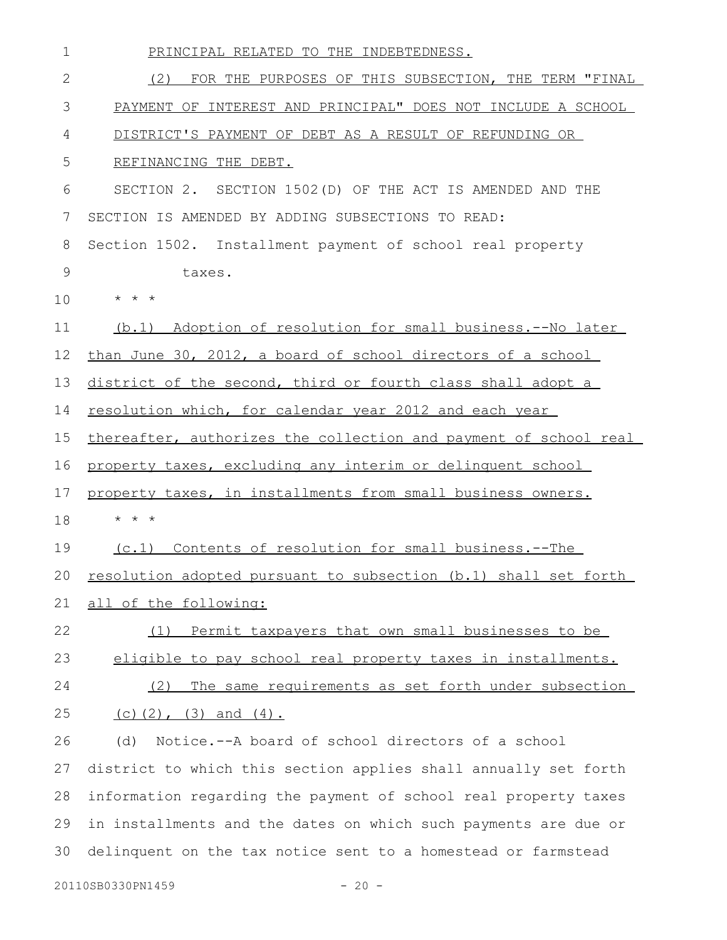| 1  | PRINCIPAL RELATED TO THE INDEBTEDNESS.                           |
|----|------------------------------------------------------------------|
| 2  | (2)<br>FOR THE PURPOSES OF THIS SUBSECTION, THE TERM "FINAL      |
| 3  | PAYMENT OF INTEREST AND PRINCIPAL" DOES NOT INCLUDE A SCHOOL     |
| 4  | DISTRICT'S PAYMENT OF DEBT AS A RESULT OF REFUNDING OR           |
| 5  | REFINANCING THE DEBT.                                            |
| 6  | SECTION 2. SECTION 1502 (D) OF THE ACT IS AMENDED AND THE        |
| 7  | SECTION IS AMENDED BY ADDING SUBSECTIONS TO READ:                |
| 8  | Section 1502. Installment payment of school real property        |
| 9  | taxes.                                                           |
| 10 | $\star$ $\star$ $\star$                                          |
| 11 | (b.1) Adoption of resolution for small business.--No later       |
| 12 | than June 30, 2012, a board of school directors of a school      |
| 13 | district of the second, third or fourth class shall adopt a      |
| 14 | resolution which, for calendar year 2012 and each year           |
| 15 | thereafter, authorizes the collection and payment of school real |
| 16 | property taxes, excluding any interim or delinquent school       |
| 17 | property taxes, in installments from small business owners.      |
| 18 | $\star$<br>$\star$ $\star$                                       |
| 19 | (c.1) Contents of resolution for small business.--The            |
| 20 | resolution adopted pursuant to subsection (b.1) shall set forth  |
| 21 | all of the following:                                            |
| 22 | Permit taxpayers that own small businesses to be<br>(1)          |
| 23 | eligible to pay school real property taxes in installments.      |
| 24 | The same requirements as set forth under subsection<br>(2)       |
| 25 | (c) $(2)$ , $(3)$ and $(4)$ .                                    |
| 26 | Notice.--A board of school directors of a school<br>(d)          |
| 27 | district to which this section applies shall annually set forth  |
| 28 | information regarding the payment of school real property taxes  |
| 29 | in installments and the dates on which such payments are due or  |
| 30 | delinquent on the tax notice sent to a homestead or farmstead    |